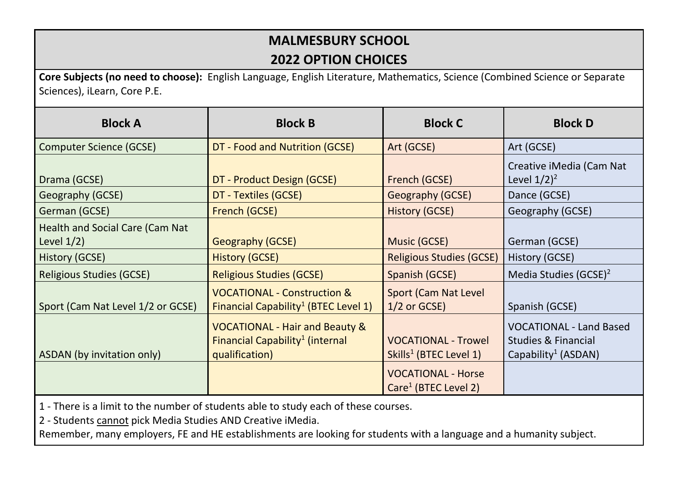## **MALMESBURY SCHOOL**

## **2022 OPTION CHOICES**

**Core Subjects (no need to choose):** English Language, English Literature, Mathematics, Science (Combined Science or Separate Sciences), iLearn, Core P.E.

| <b>Block A</b>                                          | <b>Block B</b>                                                                                             | <b>Block C</b>                                                   | <b>Block D</b>                                                                                      |
|---------------------------------------------------------|------------------------------------------------------------------------------------------------------------|------------------------------------------------------------------|-----------------------------------------------------------------------------------------------------|
| <b>Computer Science (GCSE)</b>                          | DT - Food and Nutrition (GCSE)                                                                             | Art (GCSE)                                                       | Art (GCSE)                                                                                          |
| Drama (GCSE)                                            | DT - Product Design (GCSE)                                                                                 | French (GCSE)                                                    | Creative iMedia (Cam Nat<br>Level $1/2$ <sup>2</sup>                                                |
| Geography (GCSE)                                        | DT - Textiles (GCSE)                                                                                       | Geography (GCSE)                                                 | Dance (GCSE)                                                                                        |
| German (GCSE)                                           | French (GCSE)                                                                                              | <b>History (GCSE)</b>                                            | Geography (GCSE)                                                                                    |
| <b>Health and Social Care (Cam Nat</b><br>Level $1/2$ ) | Geography (GCSE)                                                                                           | Music (GCSE)                                                     | German (GCSE)                                                                                       |
| History (GCSE)                                          | <b>History (GCSE)</b>                                                                                      | <b>Religious Studies (GCSE)</b>                                  | History (GCSE)                                                                                      |
| <b>Religious Studies (GCSE)</b>                         | <b>Religious Studies (GCSE)</b>                                                                            | Spanish (GCSE)                                                   | Media Studies (GCSE) <sup>2</sup>                                                                   |
| Sport (Cam Nat Level 1/2 or GCSE)                       | <b>VOCATIONAL - Construction &amp;</b><br>Financial Capability <sup>1</sup> (BTEC Level 1)                 | <b>Sport (Cam Nat Level)</b><br>$1/2$ or GCSE)                   | Spanish (GCSE)                                                                                      |
| ASDAN (by invitation only)                              | <b>VOCATIONAL - Hair and Beauty &amp;</b><br>Financial Capability <sup>1</sup> (internal<br>qualification) | <b>VOCATIONAL - Trowel</b><br>Skills <sup>1</sup> (BTEC Level 1) | <b>VOCATIONAL - Land Based</b><br><b>Studies &amp; Financial</b><br>Capability <sup>1</sup> (ASDAN) |
|                                                         |                                                                                                            | <b>VOCATIONAL - Horse</b><br>Care <sup>1</sup> (BTEC Level 2)    |                                                                                                     |

1 - There is a limit to the number of students able to study each of these courses.

2 - Students cannot pick Media Studies AND Creative iMedia.

Remember, many employers, FE and HE establishments are looking for students with a language and a humanity subject.